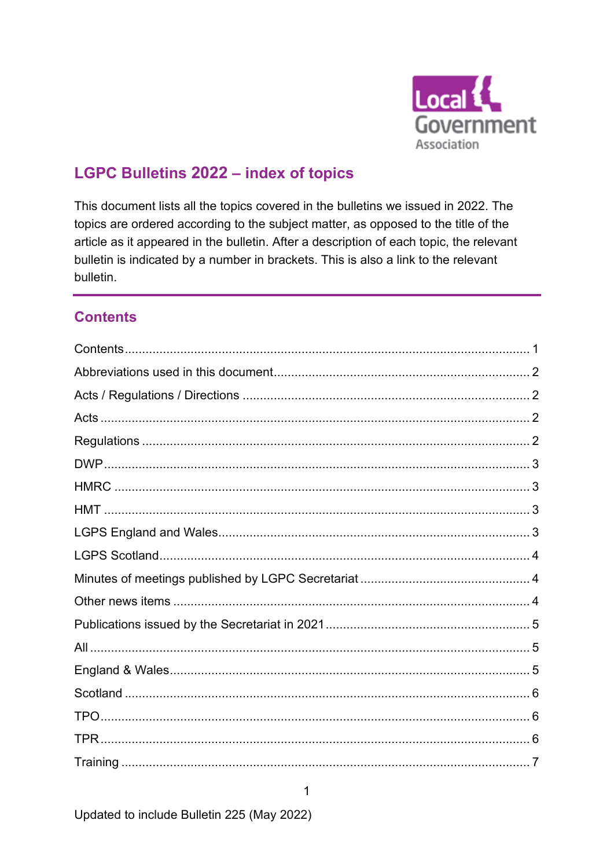

# **LGPC Bulletins 2022 - index of topics**

This document lists all the topics covered in the bulletins we issued in 2022. The topics are ordered according to the subject matter, as opposed to the title of the article as it appeared in the bulletin. After a description of each topic, the relevant bulletin is indicated by a number in brackets. This is also a link to the relevant bulletin.

# <span id="page-0-0"></span>**Contents**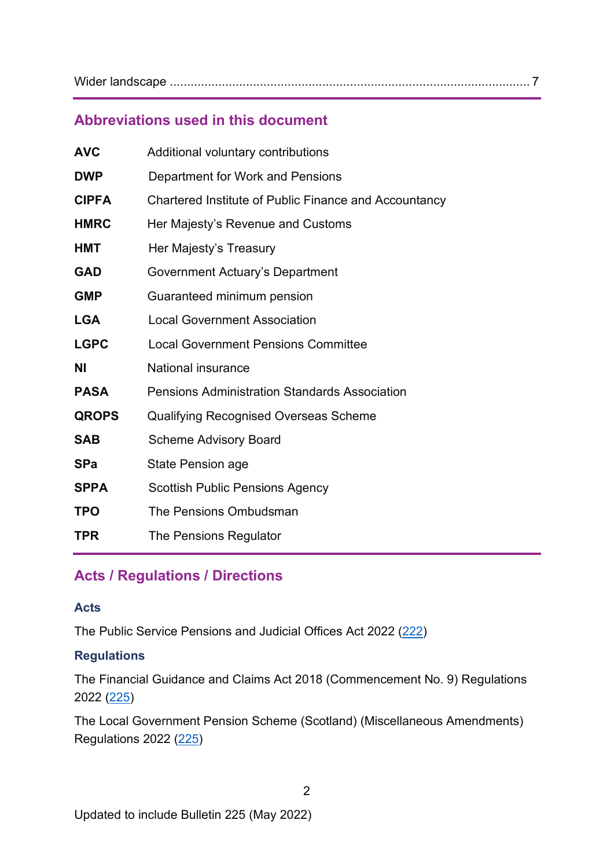Wider landscape [........................................................................................................ 7](#page-6-1)

### <span id="page-1-0"></span>**Abbreviations used in this document**

| <b>AVC</b>   | Additional voluntary contributions                    |
|--------------|-------------------------------------------------------|
| <b>DWP</b>   | Department for Work and Pensions                      |
| <b>CIPFA</b> | Chartered Institute of Public Finance and Accountancy |
| <b>HMRC</b>  | Her Majesty's Revenue and Customs                     |
| <b>HMT</b>   | Her Majesty's Treasury                                |
| <b>GAD</b>   | Government Actuary's Department                       |
| <b>GMP</b>   | Guaranteed minimum pension                            |
| <b>LGA</b>   | <b>Local Government Association</b>                   |
| <b>LGPC</b>  | <b>Local Government Pensions Committee</b>            |
| ΝI           | National insurance                                    |
| <b>PASA</b>  | <b>Pensions Administration Standards Association</b>  |
| <b>QROPS</b> | <b>Qualifying Recognised Overseas Scheme</b>          |
| <b>SAB</b>   | <b>Scheme Advisory Board</b>                          |
| <b>SPa</b>   | <b>State Pension age</b>                              |
| <b>SPPA</b>  | <b>Scottish Public Pensions Agency</b>                |
| <b>TPO</b>   | The Pensions Ombudsman                                |
| <b>TPR</b>   | The Pensions Regulator                                |

# <span id="page-1-1"></span>**Acts / Regulations / Directions**

#### <span id="page-1-2"></span>**Acts**

The Public Service Pensions and Judicial Offices Act 2022 [\(222\)](https://lgpslibrary.org/assets/bulletins/2022/222.pdf)

### <span id="page-1-3"></span>**Regulations**

The Financial Guidance and Claims Act 2018 (Commencement No. 9) Regulations 2022 [\(225\)](https://lgpslibrary.org/assets/bulletins/2022/225.pdf)

The Local Government Pension Scheme (Scotland) (Miscellaneous Amendments) Regulations 2022 [\(225\)](https://lgpslibrary.org/assets/bulletins/2022/225.pdf)

2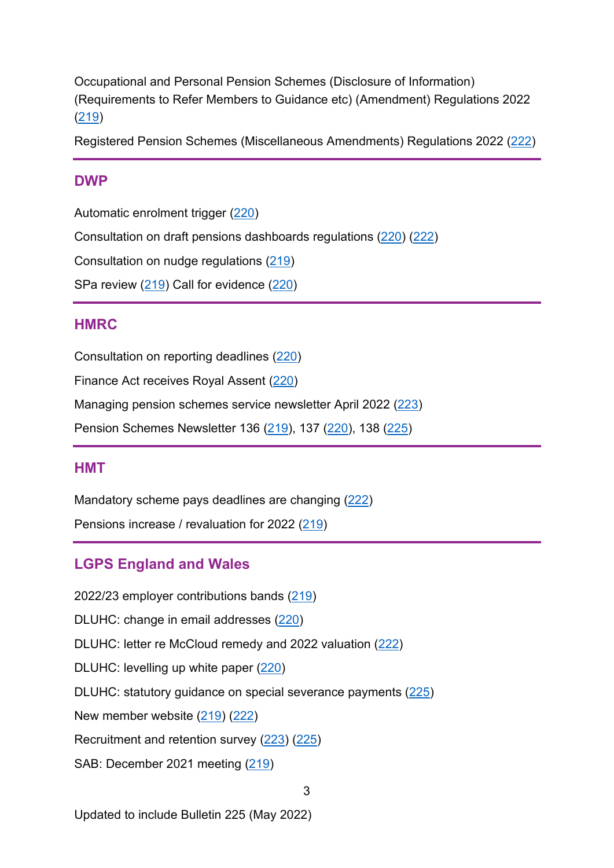Occupational and Personal Pension Schemes (Disclosure of Information) (Requirements to Refer Members to Guidance etc) (Amendment) Regulations 2022 [\(219\)](https://lgpslibrary.org/assets/bulletins/2022/219.pdf)

Registered Pension Schemes (Miscellaneous Amendments) Regulations 2022 [\(222\)](https://lgpslibrary.org/assets/bulletins/2022/222.pdf)

### <span id="page-2-0"></span>**DWP**

Automatic enrolment trigger [\(220\)](https://lgpslibrary.org/assets/bulletins/2022/220.pdf)

Consultation on draft pensions dashboards regulations [\(220\)](https://lgpslibrary.org/assets/bulletins/2022/220.pdf) [\(222\)](https://lgpslibrary.org/assets/bulletins/2022/222.pdf)

Consultation on nudge regulations [\(219\)](https://lgpslibrary.org/assets/bulletins/2022/219.pdf)

SPa review [\(219\)](https://lgpslibrary.org/assets/bulletins/2022/219.pdf) Call for evidence [\(220\)](https://lgpslibrary.org/assets/bulletins/2022/220.pdf)

### <span id="page-2-1"></span>**H M R C**

Consultation on reporting deadlines [\(220\)](https://lgpslibrary.org/assets/bulletins/2022/220.pdf)

Finance Act receives Royal Assent [\(220\)](https://lgpslibrary.org/assets/bulletins/2022/220.pdf)

Managing pension schemes service newsletter April 2022 [\(223\)](https://lgpslibrary.org/assets/bulletins/2022/223.pdf)

Pension Schemes Newsletter 136 [\(219\)](https://lgpslibrary.org/assets/bulletins/2022/219.pdf), 137 [\(220\)](https://lgpslibrary.org/assets/bulletins/2022/220.pdf), 138 [\(225\)](https://lgpslibrary.org/assets/bulletins/2022/225.pdf)

#### <span id="page-2-2"></span>**H M T**

Mandatory scheme pays deadlines are changing [\(222\)](https://lgpslibrary.org/assets/bulletins/2022/222.pdf) Pensions increase / revaluation for 2022 [\(219\)](https://lgpslibrary.org/assets/bulletins/2022/219.pdf)

# <span id="page-2-3"></span>**LGPS England and Wales**

2022/23 employer contributions bands [\(219\)](https://lgpslibrary.org/assets/bulletins/2022/219.pdf) DLUHC: change in email addresses [\(220\)](https://lgpslibrary.org/assets/bulletins/2022/220.pdf) DLUHC: letter re McCloud remedy and 2022 valuation [\(222\)](https://lgpslibrary.org/assets/bulletins/2022/222.pdf) DLUHC: levelling up white paper [\(220\)](https://lgpslibrary.org/assets/bulletins/2022/220.pdf) DLUHC: statutory guidance on special severance payments [\(225\)](https://lgpslibrary.org/assets/bulletins/2022/225.pdf) New member website [\(219\)](https://lgpslibrary.org/assets/bulletins/2022/219.pdf) [\(222\)](https://lgpslibrary.org/assets/bulletins/2022/222.pdf) Recruitment and retention survey [\(223\)](https://lgpslibrary.org/assets/bulletins/2022/223.pdf) [\(225\)](https://lgpslibrary.org/assets/bulletins/2022/225.pdf) SAB: December 2021 meeting [\(219\)](https://lgpslibrary.org/assets/bulletins/2022/219.pdf)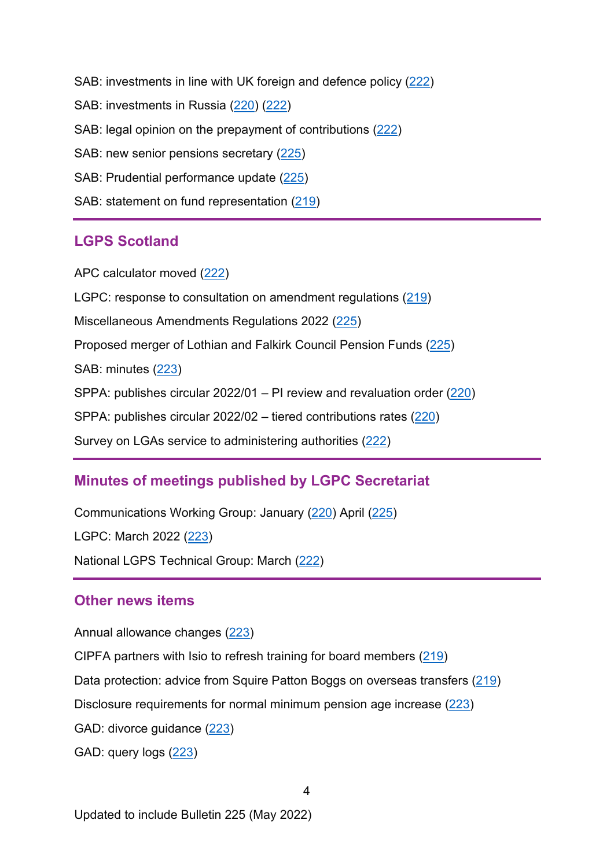SAB: investments in line with UK foreign and defence policy [\(222\)](https://lgpslibrary.org/assets/bulletins/2022/222.pdf) SAB: investments in Russia [\(220\)](https://lgpslibrary.org/assets/bulletins/2022/220.pdf) [\(222\)](https://lgpslibrary.org/assets/bulletins/2022/222.pdf) SAB: legal opinion on the prepayment of contributions [\(222\)](https://lgpslibrary.org/assets/bulletins/2022/222.pdf) SAB: new senior pensions secretary [\(225\)](https://lgpslibrary.org/assets/bulletins/2022/225.pdf) SAB: Prudential performance update [\(225\)](https://lgpslibrary.org/assets/bulletins/2022/225.pdf) SAB: statement on fund representation [\(219\)](https://lgpslibrary.org/assets/bulletins/2022/219.pdf)

### <span id="page-3-0"></span>**LGPS Scotland**

APC calculator moved [\(222\)](https://lgpslibrary.org/assets/bulletins/2022/222.pdf)

LGPC: response to consultation on amendment regulations  $(219)$ 

Miscellaneous Amendments Regulations 2022 [\(225\)](https://lgpslibrary.org/assets/bulletins/2022/225.pdf)

Proposed merger of Lothian and Falkirk Council Pension Funds [\(225\)](https://lgpslibrary.org/assets/bulletins/2022/225.pdf)

SAB: minutes [\(223\)](https://lgpslibrary.org/assets/bulletins/2022/223.pdf)

SPPA: publishes circular  $2022/01 -$  PI review and revaluation order  $(220)$ 

SPPA: publishes circular  $2022/02 -$  tiered contributions rates  $(220)$ 

Survey on LGAs service to administering authorities [\(222\)](https://lgpslibrary.org/assets/bulletins/2022/222.pdf)

# <span id="page-3-1"></span>**Minutes of meetings published by LGPC Secretariat**

Communications Working Group: January [\(220\)](https://lgpslibrary.org/assets/bulletins/2022/220.pdf) April [\(225\)](https://lgpslibrary.org/assets/bulletins/2022/225.pdf) LGPC: March 2022 [\(223\)](https://lgpslibrary.org/assets/bulletins/2022/223.pdf) National LGPS Technical Group: March [\(222\)](https://lgpslibrary.org/assets/bulletins/2022/222.pdf)

### <span id="page-3-2"></span>**Other news items**

Annual allowance changes [\(223\)](https://lgpslibrary.org/assets/bulletins/2022/223.pdf)

CIPFA partners with Isio to refresh training for board members [\(219\)](https://lgpslibrary.org/assets/bulletins/2022/219.pdf)

Data protection: advice from Squire Patton Boggs on overseas transfers [\(219\)](https://lgpslibrary.org/assets/bulletins/2022/219.pdf)

Disclosure requirements for normal minimum pension age increase [\(223\)](https://lgpslibrary.org/assets/bulletins/2022/223.pdf)

GAD: divorce guidance [\(223\)](https://lgpslibrary.org/assets/bulletins/2022/223.pdf)

GAD: query logs [\(223\)](https://lgpslibrary.org/assets/bulletins/2022/223.pdf)

Updated to include Bulletin 225 (May 2022)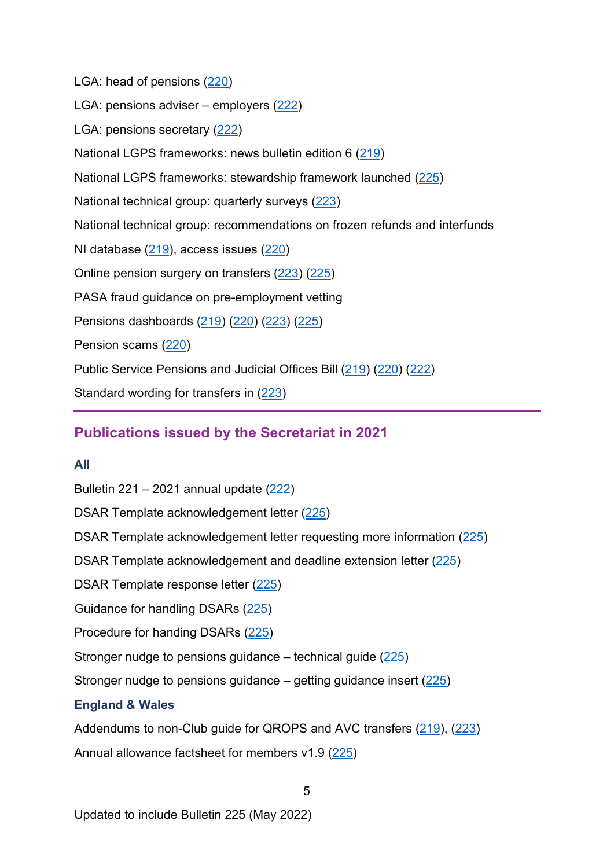LGA: head of pensions [\(220\)](https://lgpslibrary.org/assets/bulletins/2022/220.pdf) LGA: pensions adviser – employers  $(222)$ LGA: pensions secretary [\(222\)](https://lgpslibrary.org/assets/bulletins/2022/222.pdf) National LGPS frameworks: news bulletin edition 6 [\(219\)](https://lgpslibrary.org/assets/bulletins/2022/219.pdf) National LGPS frameworks: stewardship framework launched [\(225\)](https://lgpslibrary.org/assets/bulletins/2022/225.pdf) National technical group: quarterly surveys [\(223\)](https://lgpslibrary.org/assets/bulletins/2022/223.pdf) National technical group: recommendations on frozen refunds and interfunds NI database  $(219)$ , access issues  $(220)$ Online pension surgery on transfers [\(223\)](https://lgpslibrary.org/assets/bulletins/2022/223.pdf) [\(225\)](https://lgpslibrary.org/assets/bulletins/2022/225.pdf) PASA fraud guidance on pre-employment vetting Pensions dashboards [\(219\)](https://lgpslibrary.org/assets/bulletins/2022/219.pdf) [\(220\)](https://lgpslibrary.org/assets/bulletins/2022/220.pdf) [\(223\)](https://lgpslibrary.org/assets/bulletins/2022/223.pdf) [\(225\)](https://lgpslibrary.org/assets/bulletins/2022/225.pdf) Pension scams [\(220\)](https://lgpslibrary.org/assets/bulletins/2022/220.pdf) Public Service Pensions and Judicial Offices Bill [\(219\)](https://lgpslibrary.org/assets/bulletins/2022/219.pdf) [\(220\)](https://lgpslibrary.org/assets/bulletins/2022/220.pdf) [\(222\)](https://lgpslibrary.org/assets/bulletins/2022/222.pdf) Standard wording for transfers in [\(223\)](https://lgpslibrary.org/assets/bulletins/2022/223.pdf)

# <span id="page-4-0"></span>**Publications issued by the Secretariat in 2021**

#### <span id="page-4-1"></span>**All**

Bulletin 221 – 2021 annual update [\(222\)](https://lgpslibrary.org/assets/bulletins/2022/222.pdf) DSAR Template acknowledgement letter [\(225\)](https://lgpslibrary.org/assets/bulletins/2022/225.pdf) DSAR Template acknowledgement letter requesting more information [\(225\)](https://lgpslibrary.org/assets/bulletins/2022/225.pdf) DSAR Template acknowledgement and deadline extension letter [\(225\)](https://lgpslibrary.org/assets/bulletins/2022/225.pdf) DSAR Template response letter [\(225\)](https://lgpslibrary.org/assets/bulletins/2022/225.pdf) Guidance for handling DSARs [\(225\)](https://lgpslibrary.org/assets/bulletins/2022/225.pdf) Procedure for handing DSARs [\(225\)](https://lgpslibrary.org/assets/bulletins/2022/225.pdf) Stronger nudge to pensions guidance – technical guide [\(225\)](https://lgpslibrary.org/assets/bulletins/2022/225.pdf) Stronger nudge to pensions guidance – getting guidance insert  $(225)$ **England & Wales** Addendums to non-Club quide for QROPS and AVC transfers [\(219\)](https://lgpslibrary.org/assets/bulletins/2022/219.pdf), [\(223\)](https://lgpslibrary.org/assets/bulletins/2022/223.pdf) Annual allowance factsheet for members v1.9 [\(225\)](https://lgpslibrary.org/assets/bulletins/2022/225.pdf)

5

<span id="page-4-2"></span>Updated to include Bulletin 225 (May 2022)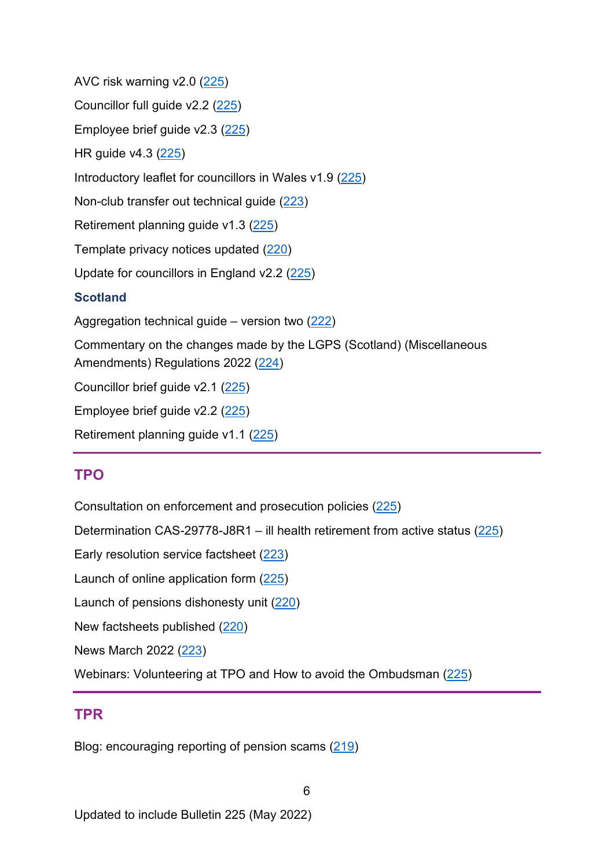AVC risk warning v2.0 [\(225\)](https://lgpslibrary.org/assets/bulletins/2022/225.pdf) Councillor full guide v2.2 [\(225\)](https://lgpslibrary.org/assets/bulletins/2022/225.pdf) Employee brief guide v2.3 [\(225\)](https://lgpslibrary.org/assets/bulletins/2022/225.pdf) HR guide v4.3 [\(225\)](https://lgpslibrary.org/assets/bulletins/2022/225.pdf) Introductory leaflet for councillors in Wales v1.9 [\(225\)](https://lgpslibrary.org/assets/bulletins/2022/225.pdf) Non-club transfer out technical guide [\(223\)](https://lgpslibrary.org/assets/bulletins/2022/223.pdf) Retirement planning guide v1.3 [\(225\)](https://lgpslibrary.org/assets/bulletins/2022/225.pdf) Template privacy notices updated [\(220\)](https://lgpslibrary.org/assets/bulletins/2022/220.pdf) Update for councillors in England v2.2 [\(225\)](https://lgpslibrary.org/assets/bulletins/2022/225.pdf) **Scotland** Aggregation technical guide – version two [\(222\)](https://lgpslibrary.org/assets/bulletins/2022/222.pdf) Commentary on the changes made by the LGPS (Scotland) (Miscellaneous Amendments) Regulations 2022 [\(224\)](https://lgpslibrary.org/assets/bulletins/2022/224.pdf) Councillor brief guide v2.1 [\(225\)](https://lgpslibrary.org/assets/bulletins/2022/225.pdf) Employee brief guide v2.2 [\(225\)](https://lgpslibrary.org/assets/bulletins/2022/225.pdf) Retirement planning guide v1.1 [\(225\)](https://lgpslibrary.org/assets/bulletins/2022/225.pdf)

# <span id="page-5-1"></span><span id="page-5-0"></span>**TPO**

Consultation on enforcement and prosecution policies [\(225\)](https://lgpslibrary.org/assets/bulletins/2022/225.pdf)

Determination CAS-29778-J8R1 – ill health retirement from active status [\(225\)](https://lgpslibrary.org/assets/bulletins/2022/225.pdf)

Early resolution service factsheet [\(223\)](https://lgpslibrary.org/assets/bulletins/2022/223.pdf)

Launch of online application form [\(225\)](https://lgpslibrary.org/assets/bulletins/2022/225.pdf)

Launch of pensions dishonesty unit [\(220\)](https://lgpslibrary.org/assets/bulletins/2022/220.pdf)

New factsheets published [\(220\)](https://lgpslibrary.org/assets/bulletins/2022/220.pdf)

News March 2022 [\(223\)](https://lgpslibrary.org/assets/bulletins/2022/223.pdf)

Webinars: Volunteering at TPO and How to avoid the Ombudsman [\(225\)](https://lgpslibrary.org/assets/bulletins/2022/225.pdf)

#### <span id="page-5-2"></span>**T P R**

Blog: encouraging reporting of pension scams [\(219\)](https://lgpslibrary.org/assets/bulletins/2022/219.pdf)

Updated to include Bulletin 225 (May 2022)